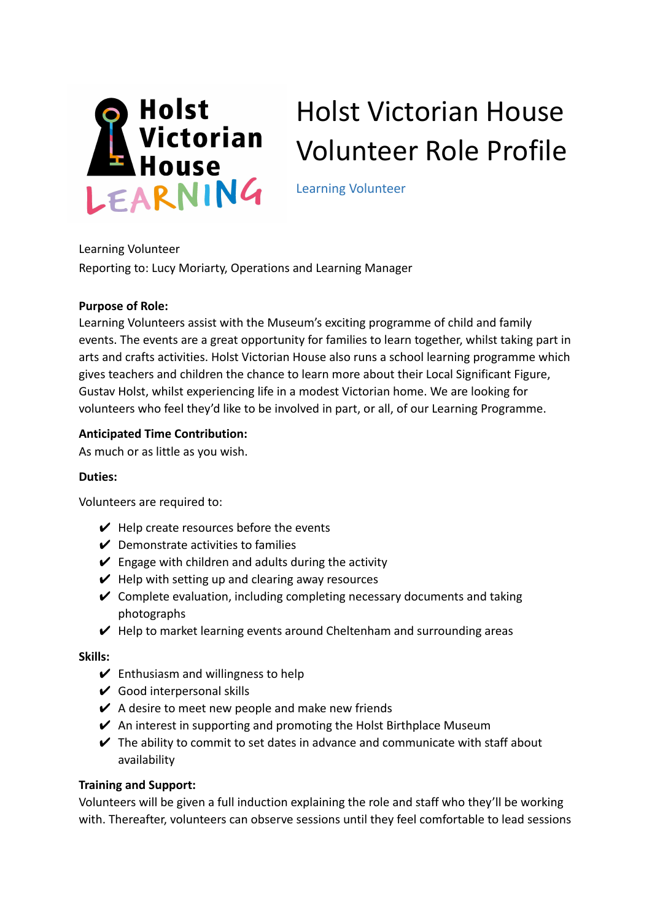

# Holst Victorian House Volunteer Role Profile

Learning Volunteer

Learning Volunteer Reporting to: Lucy Moriarty, Operations and Learning Manager

### **Purpose of Role:**

Learning Volunteers assist with the Museum's exciting programme of child and family events. The events are a great opportunity for families to learn together, whilst taking part in arts and crafts activities. Holst Victorian House also runs a school learning programme which gives teachers and children the chance to learn more about their Local Significant Figure, Gustav Holst, whilst experiencing life in a modest Victorian home. We are looking for volunteers who feel they'd like to be involved in part, or all, of our Learning Programme.

## **Anticipated Time Contribution:**

As much or as little as you wish.

## **Duties:**

Volunteers are required to:

- $\vee$  Help create resources before the events
- $\vee$  Demonstrate activities to families
- $\vee$  Engage with children and adults during the activity
- $\vee$  Help with setting up and clearing away resources
- $\checkmark$  Complete evaluation, including completing necessary documents and taking photographs
- $\vee$  Help to market learning events around Cheltenham and surrounding areas

#### **Skills:**

- $\vee$  Enthusiasm and willingness to help
- $\vee$  Good interpersonal skills
- $\vee$  A desire to meet new people and make new friends
- $\vee$  An interest in supporting and promoting the Holst Birthplace Museum
- $\vee$  The ability to commit to set dates in advance and communicate with staff about availability

#### **Training and Support:**

Volunteers will be given a full induction explaining the role and staff who they'll be working with. Thereafter, volunteers can observe sessions until they feel comfortable to lead sessions